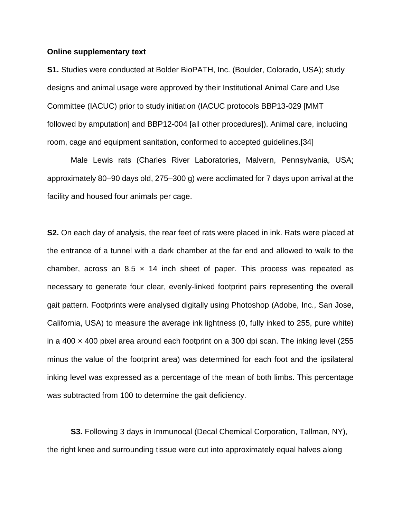## **Online supplementary text**

**S1.** Studies were conducted at Bolder BioPATH, Inc. (Boulder, Colorado, USA); study designs and animal usage were approved by their Institutional Animal Care and Use Committee (IACUC) prior to study initiation (IACUC protocols BBP13-029 [MMT followed by amputation] and BBP12-004 [all other procedures]). Animal care, including room, cage and equipment sanitation, conformed to accepted guidelines.[34]

Male Lewis rats (Charles River Laboratories, Malvern, Pennsylvania, USA; approximately 80–90 days old, 275–300 g) were acclimated for 7 days upon arrival at the facility and housed four animals per cage.

**S2.** On each day of analysis, the rear feet of rats were placed in ink. Rats were placed at the entrance of a tunnel with a dark chamber at the far end and allowed to walk to the chamber, across an 8.5  $\times$  14 inch sheet of paper. This process was repeated as necessary to generate four clear, evenly-linked footprint pairs representing the overall gait pattern. Footprints were analysed digitally using Photoshop (Adobe, Inc., San Jose, California, USA) to measure the average ink lightness (0, fully inked to 255, pure white) in a 400  $\times$  400 pixel area around each footprint on a 300 dpi scan. The inking level (255 minus the value of the footprint area) was determined for each foot and the ipsilateral inking level was expressed as a percentage of the mean of both limbs. This percentage was subtracted from 100 to determine the gait deficiency.

**S3.** Following 3 days in Immunocal (Decal Chemical Corporation, Tallman, NY), the right knee and surrounding tissue were cut into approximately equal halves along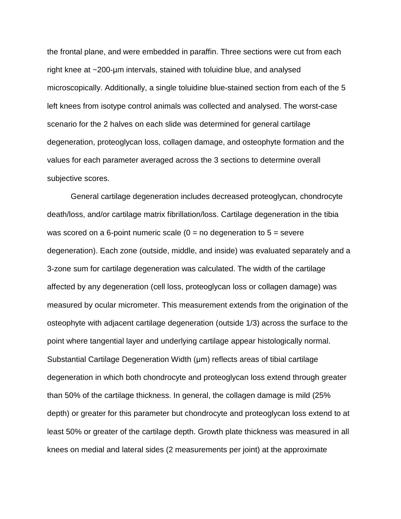the frontal plane, and were embedded in paraffin. Three sections were cut from each right knee at ~200-µm intervals, stained with toluidine blue, and analysed microscopically. Additionally, a single toluidine blue-stained section from each of the 5 left knees from isotype control animals was collected and analysed. The worst-case scenario for the 2 halves on each slide was determined for general cartilage degeneration, proteoglycan loss, collagen damage, and osteophyte formation and the values for each parameter averaged across the 3 sections to determine overall subjective scores.

General cartilage degeneration includes decreased proteoglycan, chondrocyte death/loss, and/or cartilage matrix fibrillation/loss. Cartilage degeneration in the tibia was scored on a 6-point numeric scale  $(0 = no$  degeneration to  $5 =$  severe degeneration). Each zone (outside, middle, and inside) was evaluated separately and a 3-zone sum for cartilage degeneration was calculated. The width of the cartilage affected by any degeneration (cell loss, proteoglycan loss or collagen damage) was measured by ocular micrometer. This measurement extends from the origination of the osteophyte with adjacent cartilage degeneration (outside 1/3) across the surface to the point where tangential layer and underlying cartilage appear histologically normal. Substantial Cartilage Degeneration Width (μm) reflects areas of tibial cartilage degeneration in which both chondrocyte and proteoglycan loss extend through greater than 50% of the cartilage thickness. In general, the collagen damage is mild (25% depth) or greater for this parameter but chondrocyte and proteoglycan loss extend to at least 50% or greater of the cartilage depth. Growth plate thickness was measured in all knees on medial and lateral sides (2 measurements per joint) at the approximate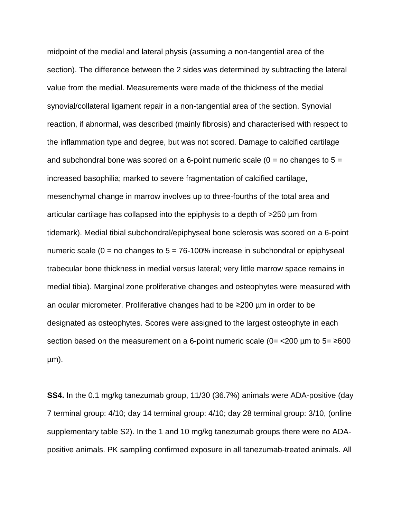midpoint of the medial and lateral physis (assuming a non-tangential area of the section). The difference between the 2 sides was determined by subtracting the lateral value from the medial. Measurements were made of the thickness of the medial synovial/collateral ligament repair in a non-tangential area of the section. Synovial reaction, if abnormal, was described (mainly fibrosis) and characterised with respect to the inflammation type and degree, but was not scored. Damage to calcified cartilage and subchondral bone was scored on a 6-point numeric scale  $(0 = no$  changes to  $5 =$ increased basophilia; marked to severe fragmentation of calcified cartilage, mesenchymal change in marrow involves up to three-fourths of the total area and articular cartilage has collapsed into the epiphysis to a depth of >250 µm from tidemark). Medial tibial subchondral/epiphyseal bone sclerosis was scored on a 6-point numeric scale ( $0 =$  no changes to  $5 = 76-100\%$  increase in subchondral or epiphyseal trabecular bone thickness in medial versus lateral; very little marrow space remains in medial tibia). Marginal zone proliferative changes and osteophytes were measured with an ocular micrometer. Proliferative changes had to be ≥200 µm in order to be designated as osteophytes. Scores were assigned to the largest osteophyte in each section based on the measurement on a 6-point numeric scale  $(0=$  <200 µm to 5=  $\geq$ 600 µm).

**SS4.** In the 0.1 mg/kg tanezumab group, 11/30 (36.7%) animals were ADA-positive (day 7 terminal group: 4/10; day 14 terminal group: 4/10; day 28 terminal group: 3/10, (online supplementary table S2). In the 1 and 10 mg/kg tanezumab groups there were no ADApositive animals. PK sampling confirmed exposure in all tanezumab-treated animals. All